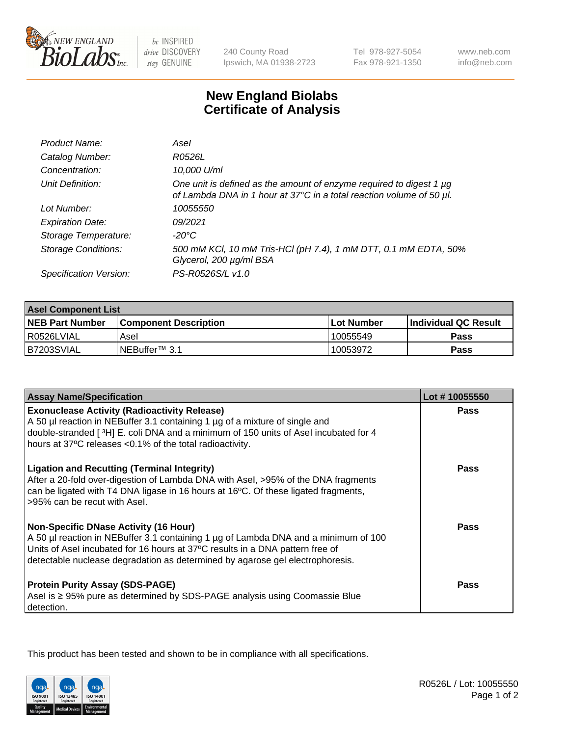

 $be$  INSPIRED drive DISCOVERY stay GENUINE

240 County Road Ipswich, MA 01938-2723 Tel 978-927-5054 Fax 978-921-1350 www.neb.com info@neb.com

## **New England Biolabs Certificate of Analysis**

| Product Name:              | Asel                                                                                                                                        |
|----------------------------|---------------------------------------------------------------------------------------------------------------------------------------------|
| Catalog Number:            | R0526L                                                                                                                                      |
| Concentration:             | 10,000 U/ml                                                                                                                                 |
| Unit Definition:           | One unit is defined as the amount of enzyme required to digest 1 µg<br>of Lambda DNA in 1 hour at 37°C in a total reaction volume of 50 µl. |
| Lot Number:                | 10055550                                                                                                                                    |
| <b>Expiration Date:</b>    | 09/2021                                                                                                                                     |
| Storage Temperature:       | $-20^{\circ}$ C                                                                                                                             |
| <b>Storage Conditions:</b> | 500 mM KCI, 10 mM Tris-HCI (pH 7.4), 1 mM DTT, 0.1 mM EDTA, 50%<br>Glycerol, 200 µg/ml BSA                                                  |
| Specification Version:     | PS-R0526S/L v1.0                                                                                                                            |

| <b>Asel Component List</b> |                              |              |                             |  |
|----------------------------|------------------------------|--------------|-----------------------------|--|
| <b>NEB Part Number</b>     | <b>Component Description</b> | l Lot Number | <b>Individual QC Result</b> |  |
| I R0526LVIAL               | Asel                         | 10055549     | <b>Pass</b>                 |  |
| B7203SVIAL                 | INEBuffer™ 3.1               | 10053972     | Pass                        |  |

| <b>Assay Name/Specification</b>                                                                                                                                                                                                                                                                       | Lot #10055550 |
|-------------------------------------------------------------------------------------------------------------------------------------------------------------------------------------------------------------------------------------------------------------------------------------------------------|---------------|
| <b>Exonuclease Activity (Radioactivity Release)</b><br>A 50 µl reaction in NEBuffer 3.1 containing 1 µg of a mixture of single and                                                                                                                                                                    | Pass          |
| double-stranded [3H] E. coli DNA and a minimum of 150 units of Asel incubated for 4<br>hours at 37°C releases <0.1% of the total radioactivity.                                                                                                                                                       |               |
| <b>Ligation and Recutting (Terminal Integrity)</b><br>After a 20-fold over-digestion of Lambda DNA with Asel, >95% of the DNA fragments<br>can be ligated with T4 DNA ligase in 16 hours at 16°C. Of these ligated fragments,<br>>95% can be recut with Asel.                                         | Pass          |
| <b>Non-Specific DNase Activity (16 Hour)</b><br>A 50 µl reaction in NEBuffer 3.1 containing 1 µg of Lambda DNA and a minimum of 100<br>Units of Asel incubated for 16 hours at 37°C results in a DNA pattern free of<br>detectable nuclease degradation as determined by agarose gel electrophoresis. | <b>Pass</b>   |
| <b>Protein Purity Assay (SDS-PAGE)</b><br>Asel is ≥ 95% pure as determined by SDS-PAGE analysis using Coomassie Blue<br>detection.                                                                                                                                                                    | Pass          |

This product has been tested and shown to be in compliance with all specifications.